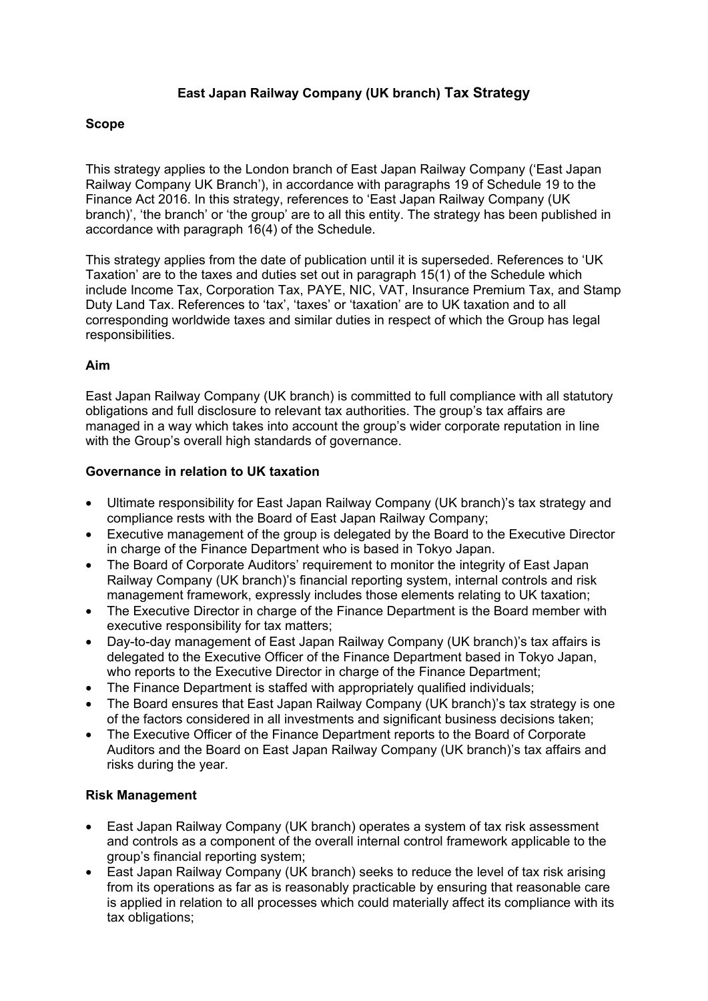# **East Japan Railway Company (UK branch) Tax Strategy**

## **Scope**

This strategy applies to the London branch of East Japan Railway Company ('East Japan Railway Company UK Branch'), in accordance with paragraphs 19 of Schedule 19 to the Finance Act 2016. In this strategy, references to 'East Japan Railway Company (UK branch)', 'the branch' or 'the group' are to all this entity. The strategy has been published in accordance with paragraph 16(4) of the Schedule.

This strategy applies from the date of publication until it is superseded. References to 'UK Taxation' are to the taxes and duties set out in paragraph 15(1) of the Schedule which include Income Tax, Corporation Tax, PAYE, NIC, VAT, Insurance Premium Tax, and Stamp Duty Land Tax. References to 'tax', 'taxes' or 'taxation' are to UK taxation and to all corresponding worldwide taxes and similar duties in respect of which the Group has legal responsibilities.

## **Aim**

East Japan Railway Company (UK branch) is committed to full compliance with all statutory obligations and full disclosure to relevant tax authorities. The group's tax affairs are managed in a way which takes into account the group's wider corporate reputation in line with the Group's overall high standards of governance.

### **Governance in relation to UK taxation**

- Ultimate responsibility for East Japan Railway Company (UK branch)'s tax strategy and compliance rests with the Board of East Japan Railway Company;
- Executive management of the group is delegated by the Board to the Executive Director in charge of the Finance Department who is based in Tokyo Japan.
- The Board of Corporate Auditors' requirement to monitor the integrity of East Japan Railway Company (UK branch)'s financial reporting system, internal controls and risk management framework, expressly includes those elements relating to UK taxation;
- The Executive Director in charge of the Finance Department is the Board member with executive responsibility for tax matters;
- Day-to-day management of East Japan Railway Company (UK branch)'s tax affairs is delegated to the Executive Officer of the Finance Department based in Tokyo Japan, who reports to the Executive Director in charge of the Finance Department;
- The Finance Department is staffed with appropriately qualified individuals;
- The Board ensures that East Japan Railway Company (UK branch)'s tax strategy is one of the factors considered in all investments and significant business decisions taken;
- The Executive Officer of the Finance Department reports to the Board of Corporate Auditors and the Board on East Japan Railway Company (UK branch)'s tax affairs and risks during the year.

### **Risk Management**

- East Japan Railway Company (UK branch) operates a system of tax risk assessment and controls as a component of the overall internal control framework applicable to the group's financial reporting system;
- East Japan Railway Company (UK branch) seeks to reduce the level of tax risk arising from its operations as far as is reasonably practicable by ensuring that reasonable care is applied in relation to all processes which could materially affect its compliance with its tax obligations;